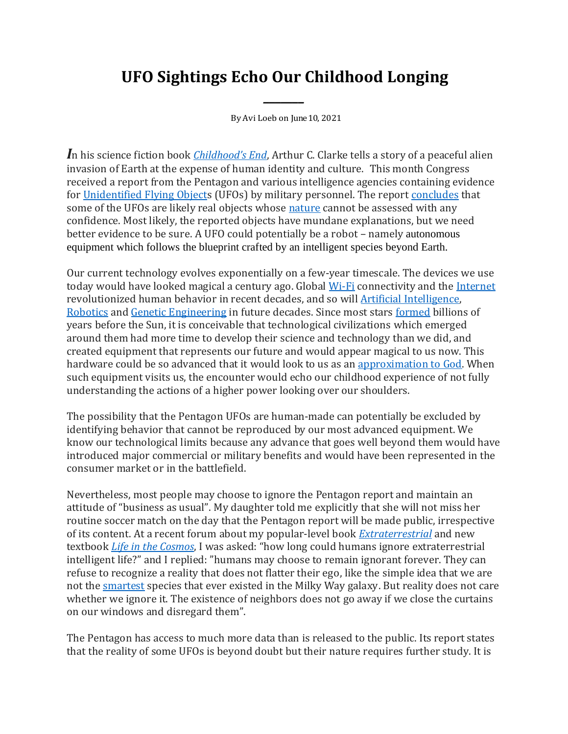## **UFO Sightings Echo Our Childhood Longing**

*\_\_\_\_\_\_\_*

By Avi Loeb on June10, 2021

*I*n his science fiction book *[Childhood's End](https://en.wikipedia.org/wiki/Childhood%27s_End)*, Arthur C. Clarke tells a story of a peaceful alien invasion of Earth at the expense of human identity and culture. This month Congress received a report from the Pentagon and various intelligence agencies containing evidence for [Unidentified Flying Objects](https://en.wikipedia.org/wiki/Unidentified_flying_object) (UFOs) by military personnel. The report [concludes](https://www.nytimes.com/2021/06/03/us/politics/ufos-sighting-alien-spacecraft-pentagon.html) that some of the UFOs are likely real objects whose [nature](https://www.scientificamerican.com/article/experts-weigh-in-on-pentagon-ufo-report/) cannot be assessed with any confidence. Most likely, the reported objects have mundane explanations, but we need better evidence to be sure. A UFO could potentially be a robot – namely autonomous equipment which follows the blueprint crafted by an intelligent species beyond Earth.

Our current technology evolves exponentially on a few-year timescale. The devices we use today would have looked magical a century ago. Global [Wi-Fi](https://en.wikipedia.org/wiki/Wi-Fi) connectivity and the [Internet](https://en.wikipedia.org/wiki/Internet) revolutionized human behavior in recent decades, and so wil[l Artificial Intelligence,](https://en.wikipedia.org/wiki/Artificial_intelligence)  [Robotics](https://en.wikipedia.org/wiki/Robotics) and [Genetic Engineering](https://en.wikipedia.org/wiki/Genetic_engineering) in future decades. Since most stars [formed](https://arxiv.org/pdf/1403.0007.pdf) billions of years before the Sun, it is conceivable that technological civilizations which emerged around them had more time to develop their science and technology than we did, and created equipment that represents our future and would appear magical to us now. This hardware could be so advanced that it would look to us as an [approximation to God.](https://blogs.scientificamerican.com/observations/advanced-extraterrestrials-as-an-approximation-to-god/) When such equipment visits us, the encounter would echo our childhood experience of not fully understanding the actions of a higher power looking over our shoulders.

The possibility that the Pentagon UFOs are human-made can potentially be excluded by identifying behavior that cannot be reproduced by our most advanced equipment. We know our technological limits because any advance that goes well beyond them would have introduced major commercial or military benefits and would have been represented in the consumer market or in the battlefield.

Nevertheless, most people may choose to ignore the Pentagon report and maintain an attitude of "business as usual". My daughter told me explicitly that she will not miss her routine soccer match on the day that the Pentagon report will be made public, irrespective of its content. At a recent forum about my popular-level book *[Extraterrestrial](https://www.hmhbooks.com/shop/books/Extraterrestrial/9780358274551)* and new textbook *[Life in the Cosmos](https://www.hup.harvard.edu/catalog.php?isbn=9780674987579)*, I was asked: "how long could humans ignore extraterrestrial intelligent life?" and I replied: "humans may choose to remain ignorant forever. They can refuse to recognize a reality that does not flatter their ego, like the simple idea that we are not the [smartest](https://blogs.scientificamerican.com/observations/are-we-really-the-smartest-kid-on-the-cosmic-block/) species that ever existed in the Milky Way galaxy. But reality does not care whether we ignore it. The existence of neighbors does not go away if we close the curtains on our windows and disregard them".

The Pentagon has access to much more data than is released to the public. Its report states that the reality of some UFOs is beyond doubt but their nature requires further study. It is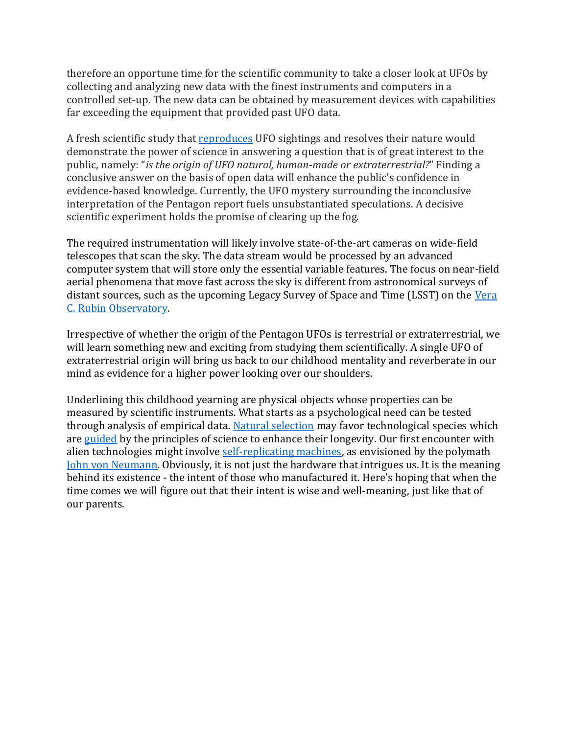therefore an opportune time for the scientific community to take a closer look at UFOs by collecting and analyzing new data with the finest instruments and computers in a controlled set-up. The new data can be obtained by measurement devices with capabilities far exceeding the equipment that provided past UFO data.

A fresh scientific study that [reproduces](https://www.scientificamerican.com/article/to-qualify-as-scientific-evidence-has-to-be-reproducible/) UFO sightings and resolves their nature would demonstrate the power of science in answering a question that is of great interest to the public, namely: "*is the origin of UFO natural, human-made or extraterrestrial?*" Finding a conclusive answer on the basis of open data will enhance the public's confidence in evidence-based knowledge. Currently, the UFO mystery surrounding the inconclusive interpretation of the Pentagon report fuels unsubstantiated speculations. A decisive scientific experiment holds the promise of clearing up the fog.

The required instrumentation will likely involve state-of-the-art cameras on wide-field telescopes that scan the sky. The data stream would be processed by an advanced computer system that will store only the essential variable features. The focus on near-field aerial phenomena that move fast across the sky is different from astronomical surveys of distant sources, such as the upcoming Legacy Survey of Space and Time (LSST) on the Vera [C. Rubin Observatory.](https://en.wikipedia.org/wiki/Vera_C._Rubin_Observatory)

Irrespective of whether the origin of the Pentagon UFOs is terrestrial or extraterrestrial, we will learn something new and exciting from studying them scientifically. A single UFO of extraterrestrial origin will bring us back to our childhood mentality and reverberate in our mind as evidence for a higher power looking over our shoulders.

Underlining this childhood yearning are physical objects whose properties can be measured by scientific instruments. What starts as a psychological need can be tested through analysis of empirical data. Natural [selection](https://en.wikipedia.org/wiki/Natural_selection) may favor technological species which are [guided](https://www.cfa.harvard.edu/~loeb/Int.pdf) by the principles of science to enhance their longevity. Our first encounter with alien technologies might involve [self-replicating machines,](https://en.wikipedia.org/wiki/Self-replicating_machine) as envisioned by the polymath [John von Neumann.](https://en.wikipedia.org/wiki/John_von_Neumann) Obviously, it is not just the hardware that intrigues us. It is the meaning behind its existence - the intent of those who manufactured it. Here's hoping that when the time comes we will figure out that their intent is wise and well-meaning, just like that of our parents.